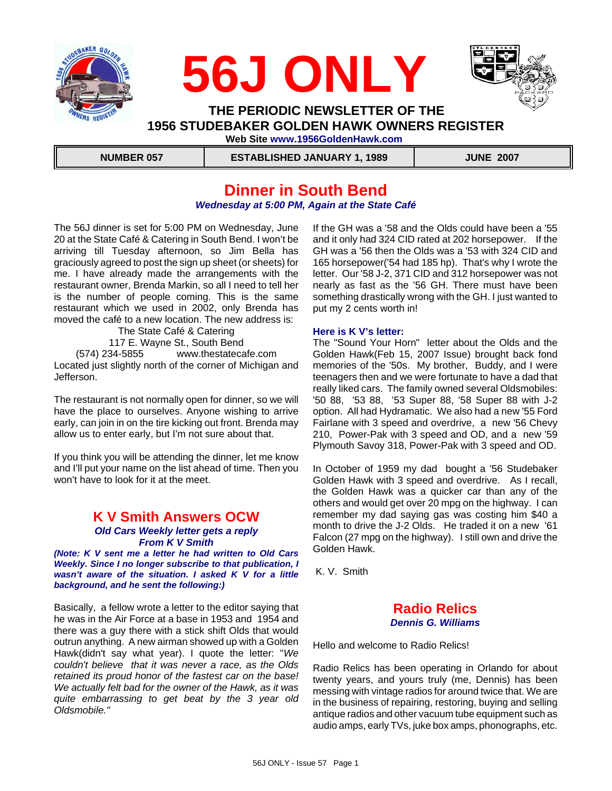





 **THE PERIODIC NEWSLETTER OF THE 1956 STUDEBAKER GOLDEN HAWK OWNERS REGISTER Web Site www.1956GoldenHawk.com**

 **NUMBER 057 ESTABLISHED JANUARY 1, 1989 JUNE 2007**

### **Dinner in South Bend** *Wednesday at 5:00 PM, Again at the State Café*

The 56J dinner is set for 5:00 PM on Wednesday, June 20 at the State Café & Catering in South Bend. I won't be arriving till Tuesday afternoon, so Jim Bella has graciously agreed to post the sign up sheet (or sheets) for me. I have already made the arrangements with the restaurant owner, Brenda Markin, so all I need to tell her is the number of people coming. This is the same restaurant which we used in 2002, only Brenda has moved the café to a new location. The new address is:

The State Café & Catering 117 E. Wayne St., South Bend (574) 234-5855 www.thestatecafe.com Located just slightly north of the corner of Michigan and Jefferson.

The restaurant is not normally open for dinner, so we will have the place to ourselves. Anyone wishing to arrive early, can join in on the tire kicking out front. Brenda may allow us to enter early, but I'm not sure about that.

If you think you will be attending the dinner, let me know and I'll put your name on the list ahead of time. Then you won't have to look for it at the meet.

### **K V Smith Answers OCW** *Old Cars Weekly letter gets a reply From K V Smith*

*(Note: K V sent me a letter he had written to Old Cars Weekly. Since I no longer subscribe to that publication, I wasn't aware of the situation. I asked K V for a little background, and he sent the following:)*

Basically, a fellow wrote a letter to the editor saying that he was in the Air Force at a base in 1953 and 1954 and there was a guy there with a stick shift Olds that would outrun anything. A new airman showed up with a Golden Hawk(didn't say what year). I quote the letter: "*We couldn't believe that it was never a race, as the Olds retained its proud honor of the fastest car on the base! We actually felt bad for the owner of the Hawk, as it was quite embarrassing to get beat by the 3 year old Oldsmobile."* 

If the GH was a '58 and the Olds could have been a '55 and it only had 324 CID rated at 202 horsepower. If the GH was a '56 then the Olds was a '53 with 324 CID and 165 horsepower('54 had 185 hp). That's why I wrote the letter. Our '58 J-2, 371 CID and 312 horsepower was not nearly as fast as the '56 GH. There must have been something drastically wrong with the GH. I just wanted to put my 2 cents worth in!

#### **Here is K V's letter:**

The "Sound Your Horn" letter about the Olds and the Golden Hawk(Feb 15, 2007 Issue) brought back fond memories of the '50s. My brother, Buddy, and I were teenagers then and we were fortunate to have a dad that really liked cars. The family owned several Oldsmobiles: '50 88, '53 88, '53 Super 88, '58 Super 88 with J-2 option. All had Hydramatic. We also had a new '55 Ford Fairlane with 3 speed and overdrive, a new '56 Chevy 210, Power-Pak with 3 speed and OD, and a new '59 Plymouth Savoy 318, Power-Pak with 3 speed and OD.

In October of 1959 my dad bought a '56 Studebaker Golden Hawk with 3 speed and overdrive. As I recall, the Golden Hawk was a quicker car than any of the others and would get over 20 mpg on the highway. I can remember my dad saying gas was costing him \$40 a month to drive the J-2 Olds. He traded it on a new '61 Falcon (27 mpg on the highway). I still own and drive the Golden Hawk.

K. V. Smith

### **Radio Relics** *Dennis G. Williams*

Hello and welcome to Radio Relics!

Radio Relics has been operating in Orlando for about twenty years, and yours truly (me, Dennis) has been messing with vintage radios for around twice that. We are in the business of repairing, restoring, buying and selling antique radios and other vacuum tube equipment such as audio amps, early TVs, juke box amps, phonographs, etc.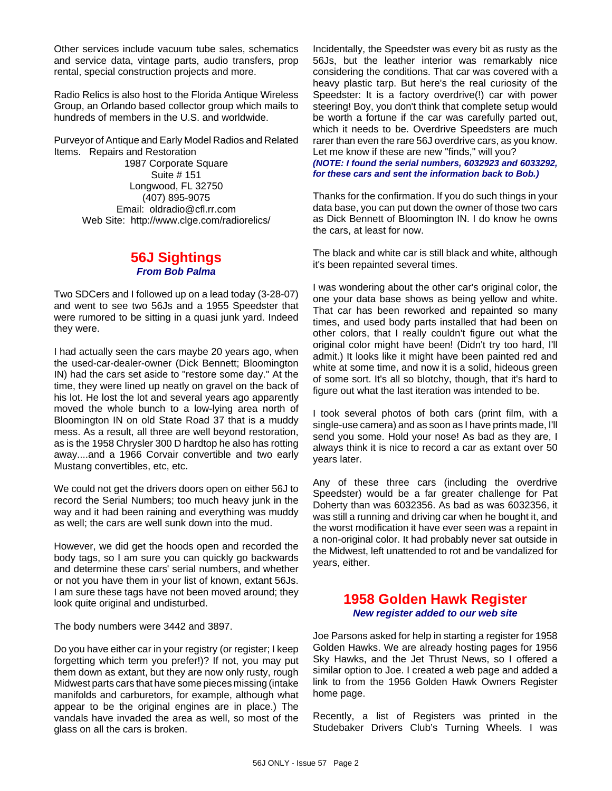Other services include vacuum tube sales, schematics and service data, vintage parts, audio transfers, prop rental, special construction projects and more.

Radio Relics is also host to the Florida Antique Wireless Group, an Orlando based collector group which mails to hundreds of members in the U.S. and worldwide.

Purveyor of Antique and Early Model Radios and Related Items. Repairs and Restoration

1987 Corporate Square Suite # 151 Longwood, FL 32750 (407) 895-9075 Email: oldradio@cfl.rr.com Web Site: http://www.clge.com/radiorelics/

### **56J Sightings** *From Bob Palma*

Two SDCers and I followed up on a lead today (3-28-07) and went to see two 56Js and a 1955 Speedster that were rumored to be sitting in a quasi junk yard. Indeed they were.

I had actually seen the cars maybe 20 years ago, when the used-car-dealer-owner (Dick Bennett; Bloomington IN) had the cars set aside to "restore some day." At the time, they were lined up neatly on gravel on the back of his lot. He lost the lot and several years ago apparently moved the whole bunch to a low-lying area north of Bloomington IN on old State Road 37 that is a muddy mess. As a result, all three are well beyond restoration, as is the 1958 Chrysler 300 D hardtop he also has rotting away....and a 1966 Corvair convertible and two early Mustang convertibles, etc, etc.

We could not get the drivers doors open on either 56J to record the Serial Numbers; too much heavy junk in the way and it had been raining and everything was muddy as well; the cars are well sunk down into the mud.

However, we did get the hoods open and recorded the body tags, so I am sure you can quickly go backwards and determine these cars' serial numbers, and whether or not you have them in your list of known, extant 56Js. I am sure these tags have not been moved around; they look quite original and undisturbed.

The body numbers were 3442 and 3897.

Do you have either car in your registry (or register; I keep forgetting which term you prefer!)? If not, you may put them down as extant, but they are now only rusty, rough Midwest parts cars that have some pieces missing (intake manifolds and carburetors, for example, although what appear to be the original engines are in place.) The vandals have invaded the area as well, so most of the glass on all the cars is broken.

Incidentally, the Speedster was every bit as rusty as the 56Js, but the leather interior was remarkably nice considering the conditions. That car was covered with a heavy plastic tarp. But here's the real curiosity of the Speedster: It is a factory overdrive(!) car with power steering! Boy, you don't think that complete setup would be worth a fortune if the car was carefully parted out, which it needs to be. Overdrive Speedsters are much rarer than even the rare 56J overdrive cars, as you know. Let me know if these are new "finds," will you? *(NOTE: I found the serial numbers, 6032923 and 6033292, for these cars and sent the information back to Bob.)*

Thanks for the confirmation. If you do such things in your data base, you can put down the owner of those two cars as Dick Bennett of Bloomington IN. I do know he owns the cars, at least for now.

The black and white car is still black and white, although it's been repainted several times.

I was wondering about the other car's original color, the one your data base shows as being yellow and white. That car has been reworked and repainted so many times, and used body parts installed that had been on other colors, that I really couldn't figure out what the original color might have been! (Didn't try too hard, I'll admit.) It looks like it might have been painted red and white at some time, and now it is a solid, hideous green of some sort. It's all so blotchy, though, that it's hard to figure out what the last iteration was intended to be.

I took several photos of both cars (print film, with a single-use camera) and as soon as I have prints made, I'll send you some. Hold your nose! As bad as they are, I always think it is nice to record a car as extant over 50 years later.

Any of these three cars (including the overdrive Speedster) would be a far greater challenge for Pat Doherty than was 6032356. As bad as was 6032356, it was still a running and driving car when he bought it, and the worst modification it have ever seen was a repaint in a non-original color. It had probably never sat outside in the Midwest, left unattended to rot and be vandalized for years, either.

### **1958 Golden Hawk Register** *New register added to our web site*

Joe Parsons asked for help in starting a register for 1958 Golden Hawks. We are already hosting pages for 1956 Sky Hawks, and the Jet Thrust News, so I offered a similar option to Joe. I created a web page and added a link to from the 1956 Golden Hawk Owners Register home page.

Recently, a list of Registers was printed in the Studebaker Drivers Club's Turning Wheels. I was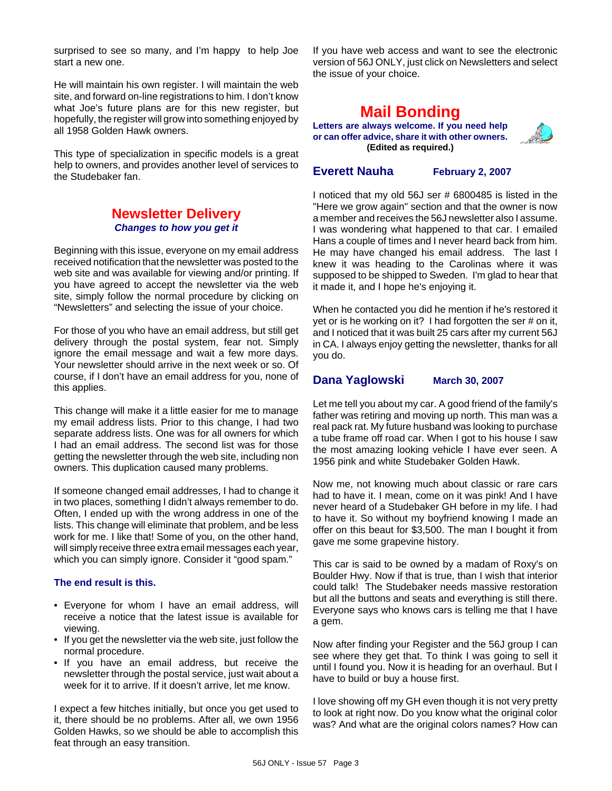surprised to see so many, and I'm happy to help Joe start a new one.

He will maintain his own register. I will maintain the web site, and forward on-line registrations to him. I don't know what Joe's future plans are for this new register, but hopefully, the register will grow into something enjoyed by all 1958 Golden Hawk owners.

This type of specialization in specific models is a great help to owners, and provides another level of services to the Studebaker fan.

### **Newsletter Delivery** *Changes to how you get it*

Beginning with this issue, everyone on my email address received notification that the newsletter was posted to the web site and was available for viewing and/or printing. If you have agreed to accept the newsletter via the web site, simply follow the normal procedure by clicking on "Newsletters" and selecting the issue of your choice.

For those of you who have an email address, but still get delivery through the postal system, fear not. Simply ignore the email message and wait a few more days. Your newsletter should arrive in the next week or so. Of course, if I don't have an email address for you, none of this applies.

This change will make it a little easier for me to manage my email address lists. Prior to this change, I had two separate address lists. One was for all owners for which I had an email address. The second list was for those getting the newsletter through the web site, including non owners. This duplication caused many problems.

If someone changed email addresses, I had to change it in two places, something I didn't always remember to do. Often, I ended up with the wrong address in one of the lists. This change will eliminate that problem, and be less work for me. I like that! Some of you, on the other hand, will simply receive three extra email messages each year, which you can simply ignore. Consider it "good spam."

### **The end result is this.**

- Everyone for whom I have an email address, will receive a notice that the latest issue is available for viewing.
- If you get the newsletter via the web site, just follow the normal procedure.
- If you have an email address, but receive the newsletter through the postal service, just wait about a week for it to arrive. If it doesn't arrive, let me know.

I expect a few hitches initially, but once you get used to it, there should be no problems. After all, we own 1956 Golden Hawks, so we should be able to accomplish this feat through an easy transition.

If you have web access and want to see the electronic version of 56J ONLY, just click on Newsletters and select the issue of your choice.

# **Mail Bonding**

**Letters are always welcome. If you need help or can offer advice, share it with other owners. (Edited as required.)**

**Everett Nauha February 2, 2007**

I noticed that my old 56J ser # 6800485 is listed in the "Here we grow again" section and that the owner is now a member and receives the 56J newsletter also I assume. I was wondering what happened to that car. I emailed Hans a couple of times and I never heard back from him. He may have changed his email address. The last I knew it was heading to the Carolinas where it was supposed to be shipped to Sweden. I'm glad to hear that it made it, and I hope he's enjoying it.

When he contacted you did he mention if he's restored it yet or is he working on it? I had forgotten the ser # on it, and I noticed that it was built 25 cars after my current 56J in CA. I always enjoy getting the newsletter, thanks for all you do.

### **Dana Yaglowski March 30, 2007**

Let me tell you about my car. A good friend of the family's father was retiring and moving up north. This man was a real pack rat. My future husband was looking to purchase a tube frame off road car. When I got to his house I saw the most amazing looking vehicle I have ever seen. A 1956 pink and white Studebaker Golden Hawk.

Now me, not knowing much about classic or rare cars had to have it. I mean, come on it was pink! And I have never heard of a Studebaker GH before in my life. I had to have it. So without my boyfriend knowing I made an offer on this beaut for \$3,500. The man I bought it from gave me some grapevine history.

This car is said to be owned by a madam of Roxy's on Boulder Hwy. Now if that is true, than I wish that interior could talk! The Studebaker needs massive restoration but all the buttons and seats and everything is still there. Everyone says who knows cars is telling me that I have a gem.

Now after finding your Register and the 56J group I can see where they get that. To think I was going to sell it until I found you. Now it is heading for an overhaul. But I have to build or buy a house first.

I love showing off my GH even though it is not very pretty to look at right now. Do you know what the original color was? And what are the original colors names? How can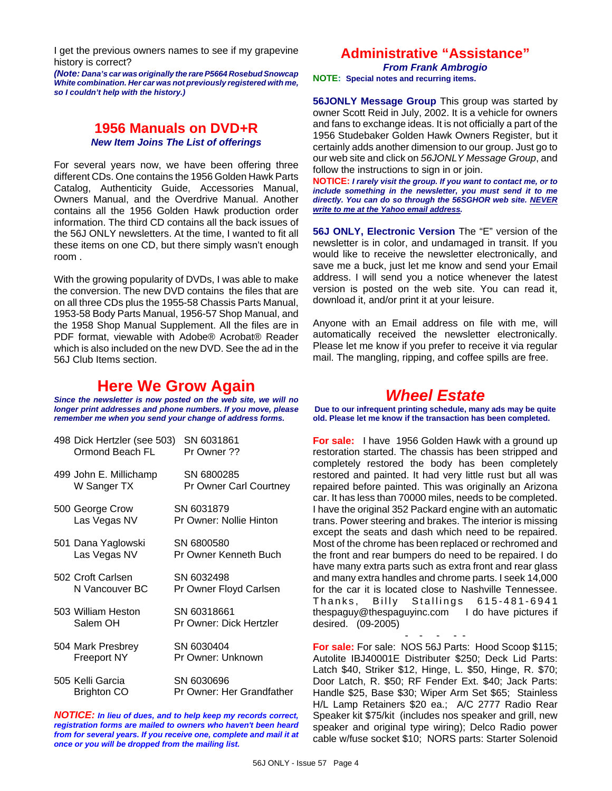I get the previous owners names to see if my grapevine history is correct?

*(Note: Dana's car was originally the rare P5664 Rosebud Snowcap White combination. Her car was not previously registered with me, so I couldn't help with the history.)*

### **1956 Manuals on DVD+R** *New Item Joins The List of offerings*

For several years now, we have been offering three different CDs. One contains the 1956 Golden Hawk Parts Catalog, Authenticity Guide, Accessories Manual, Owners Manual, and the Overdrive Manual. Another contains all the 1956 Golden Hawk production order information. The third CD contains all the back issues of the 56J ONLY newsletters. At the time, I wanted to fit all these items on one CD, but there simply wasn't enough room .

With the growing popularity of DVDs, I was able to make the conversion. The new DVD contains the files that are on all three CDs plus the 1955-58 Chassis Parts Manual, 1953-58 Body Parts Manual, 1956-57 Shop Manual, and the 1958 Shop Manual Supplement. All the files are in PDF format, viewable with Adobe® Acrobat® Reader which is also included on the new DVD. See the ad in the 56J Club Items section.

## **Here We Grow Again**

*Since the newsletter is now posted on the web site, we will no longer print addresses and phone numbers. If you move, please remember me when you send your change of address forms.*

| 498 Dick Hertzler (see 503)<br>Ormond Beach FL | SN 6031861<br>Pr Owner ??               |
|------------------------------------------------|-----------------------------------------|
| 499 John E. Millichamp<br>W Sanger TX          | SN 6800285<br>Pr Owner Carl Courtney    |
| 500 George Crow<br>Las Vegas NV                | SN 6031879<br>Pr Owner: Nollie Hinton   |
| 501 Dana Yaglowski<br>Las Vegas NV             | SN 6800580<br>Pr Owner Kenneth Buch     |
| 502 Croft Carlsen<br>N Vancouver BC            | SN 6032498<br>Pr Owner Floyd Carlsen    |
| 503 William Heston<br>Salem OH                 | SN 60318661<br>Pr Owner: Dick Hertzler  |
| 504 Mark Presbrey<br><b>Freeport NY</b>        | SN 6030404<br>Pr Owner: Unknown         |
| 505 Kelli Garcia<br><b>Brighton CO</b>         | SN 6030696<br>Pr Owner: Her Grandfather |

*NOTICE: In lieu of dues, and to help keep my records correct, registration forms are mailed to owners who haven't been heard from for several years. If you receive one, complete and mail it at once or you will be dropped from the mailing list.*

### **Administrative "Assistance"** *From Frank Ambrogio*

**NOTE: Special notes and recurring items.**

**56JONLY Message Group** This group was started by owner Scott Reid in July, 2002. It is a vehicle for owners and fans to exchange ideas. It is not officially a part of the 1956 Studebaker Golden Hawk Owners Register, but it certainly adds another dimension to our group. Just go to our web site and click on *56JONLY Message Group*, and follow the instructions to sign in or join.

**NOTICE:** *I rarely visit the group. If you want to contact me, or to include something in the newsletter, you must send it to me directly. You can do so through the 56SGHOR web site. NEVER write to me at the Yahoo email address.*

**56J ONLY, Electronic Version** The "E" version of the newsletter is in color, and undamaged in transit. If you would like to receive the newsletter electronically, and save me a buck, just let me know and send your Email address. I will send you a notice whenever the latest version is posted on the web site. You can read it, download it, and/or print it at your leisure.

Anyone with an Email address on file with me, will automatically received the newsletter electronically. Please let me know if you prefer to receive it via regular mail. The mangling, ripping, and coffee spills are free.

### *Wheel Estate*

**Due to our infrequent printing schedule, many ads may be quite old. Please let me know if the transaction has been completed.**

**For sale:** I have 1956 Golden Hawk with a ground up restoration started. The chassis has been stripped and completely restored the body has been completely restored and painted. It had very little rust but all was repaired before painted. This was originally an Arizona car. It has less than 70000 miles, needs to be completed. I have the original 352 Packard engine with an automatic trans. Power steering and brakes. The interior is missing except the seats and dash which need to be repaired. Most of the chrome has been replaced or rechromed and the front and rear bumpers do need to be repaired. I do have many extra parts such as extra front and rear glass and many extra handles and chrome parts. I seek 14,000 for the car it is located close to Nashville Tennessee. Thanks, Billy Stallings 615-481-6941 thespaguy@thespaguyinc.com I do have pictures if desired. (09-2005)

- - - - - **For sale:** For sale: NOS 56J Parts: Hood Scoop \$115; Autolite IBJ40001E Distributer \$250; Deck Lid Parts: Latch \$40, Striker \$12, Hinge, L. \$50, Hinge, R. \$70; Door Latch, R. \$50; RF Fender Ext. \$40; Jack Parts: Handle \$25, Base \$30; Wiper Arm Set \$65; Stainless H/L Lamp Retainers \$20 ea.; A/C 2777 Radio Rear Speaker kit \$75/kit (includes nos speaker and grill, new speaker and original type wiring); Delco Radio power cable w/fuse socket \$10; NORS parts: Starter Solenoid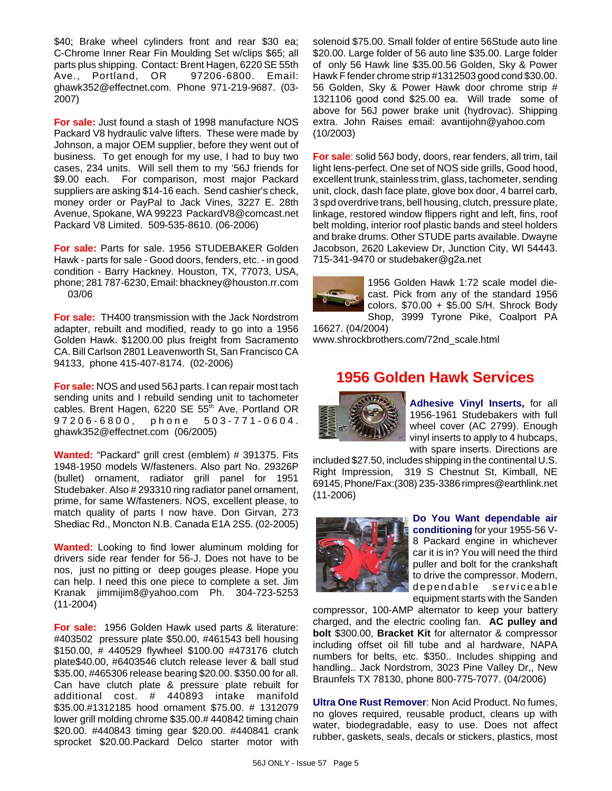\$40; Brake wheel cylinders front and rear \$30 ea; C-Chrome Inner Rear Fin Moulding Set w/clips \$65; all parts plus shipping. Contact: Brent Hagen, 6220 SE 55th Ave., Portland, OR 97206-6800. Email: ghawk352@effectnet.com. Phone 971-219-9687. (03- 2007)

**For sale:** Just found a stash of 1998 manufacture NOS Packard V8 hydraulic valve lifters. These were made by Johnson, a major OEM supplier, before they went out of business. To get enough for my use, I had to buy two cases, 234 units. Will sell them to my '56J friends for \$9.00 each. For comparison, most major Packard suppliers are asking \$14-16 each. Send cashier's check, money order or PayPal to Jack Vines, 3227 E. 28th Avenue, Spokane, WA 99223 PackardV8@comcast.net Packard V8 Limited. 509-535-8610. (06-2006)

**For sale:** Parts for sale. 1956 STUDEBAKER Golden Hawk - parts for sale - Good doors, fenders, etc. - in good condition - Barry Hackney. Houston, TX, 77073, USA, phone; 281 787-6230, Email: bhackney@houston.rr.com 03/06

**For sale:** TH400 transmission with the Jack Nordstrom adapter, rebuilt and modified, ready to go into a 1956 Golden Hawk. \$1200.00 plus freight from Sacramento CA. Bill Carlson 2801 Leavenworth St, San Francisco CA 94133, phone 415-407-8174. (02-2006)

**For sale:** NOS and used 56J parts. I can repair most tach sending units and I rebuild sending unit to tachometer cables. Brent Hagen, 6220 SE 55<sup>th</sup> Ave, Portland OR 97206-6800, phone 503-771-0604. ghawk352@effectnet.com (06/2005)

**Wanted:** "Packard" grill crest (emblem) # 391375. Fits 1948-1950 models W/fasteners. Also part No. 29326P (bullet) ornament, radiator grill panel for 1951 Studebaker. Also # 293310 ring radiator panel ornament, prime, for same W/fasteners. NOS, excellent please, to match quality of parts I now have. Don Girvan, 273 Shediac Rd., Moncton N.B. Canada E1A 2S5. (02-2005)

**Wanted:** Looking to find lower aluminum molding for drivers side rear fender for 56-J. Does not have to be nos, just no pitting or deep gouges please. Hope you can help. I need this one piece to complete a set. Jim Kranak jimmijim8@yahoo.com Ph. 304-723-5253 (11-2004)

**For sale:** 1956 Golden Hawk used parts & literature: #403502 pressure plate \$50.00, #461543 bell housing \$150.00, # 440529 flywheel \$100.00 #473176 clutch plate\$40.00, #6403546 clutch release lever & ball stud \$35.00, #465306 release bearing \$20.00. \$350.00 for all. Can have clutch plate & pressure plate rebuilt for additional cost. # 440893 intake manifold \$35.00.#1312185 hood ornament \$75.00. # 1312079 lower grill molding chrome \$35.00.# 440842 timing chain \$20.00. #440843 timing gear \$20.00. #440841 crank sprocket \$20.00.Packard Delco starter motor with solenoid \$75.00. Small folder of entire 56Stude auto line \$20.00. Large folder of 56 auto line \$35.00. Large folder of only 56 Hawk line \$35.00.56 Golden, Sky & Power Hawk F fender chrome strip #1312503 good cond \$30.00. 56 Golden, Sky & Power Hawk door chrome strip # 1321106 good cond \$25.00 ea. Will trade some of above for 56J power brake unit (hydrovac). Shipping extra. John Raises email: avantijohn@yahoo.com (10/2003)

**For sale**: solid 56J body, doors, rear fenders, all trim, tail light lens-perfect. One set of NOS side grills, Good hood, excellent trunk, stainless trim, glass, tachometer, sending unit, clock, dash face plate, glove box door, 4 barrel carb, 3 spd overdrive trans, bell housing, clutch, pressure plate, linkage, restored window flippers right and left, fins, roof belt molding, interior roof plastic bands and steel holders and brake drums. Other STUDE parts available. Dwayne Jacobson, 2620 Lakeview Dr, Junction City, WI 54443. 715-341-9470 or studebaker@g2a.net



1956 Golden Hawk 1:72 scale model diecast. Pick from any of the standard 1956 colors. \$70.00 + \$5.00 S/H. Shrock Body Shop, 3999 Tyrone Pike, Coalport PA

16627. (04/2004) www.shrockbrothers.com/72nd\_scale.html

# **1956 Golden Hawk Services**



**Adhesive Vinyl Inserts,** for all 1956-1961 Studebakers with full wheel cover (AC 2799). Enough vinyl inserts to apply to 4 hubcaps, with spare inserts. Directions are

included \$27.50, includes shipping in the continental U.S. Right Impression, 319 S Chestnut St, Kimball, NE 69145, Phone/Fax:(308) 235-3386 rimpres@earthlink.net (11-2006)



**Do You Want dependable air conditioning** for your 1955-56 V-8 Packard engine in whichever car it is in? You will need the third puller and bolt for the crankshaft to drive the compressor. Modern, dependable serviceable equipment starts with the Sanden

compressor, 100-AMP alternator to keep your battery charged, and the electric cooling fan. **AC pulley and bolt** \$300.00, **Bracket Kit** for alternator & compressor including offset oil fill tube and al hardware, NAPA numbers for belts, etc. \$350.. Includes shipping and handling.. Jack Nordstrom, 3023 Pine Valley Dr,, New Braunfels TX 78130, phone 800-775-7077. (04/2006)

**Ultra One Rust Remover**: Non Acid Product. No fumes, no gloves required, reusable product, cleans up with water, biodegradable, easy to use. Does not affect rubber, gaskets, seals, decals or stickers, plastics, most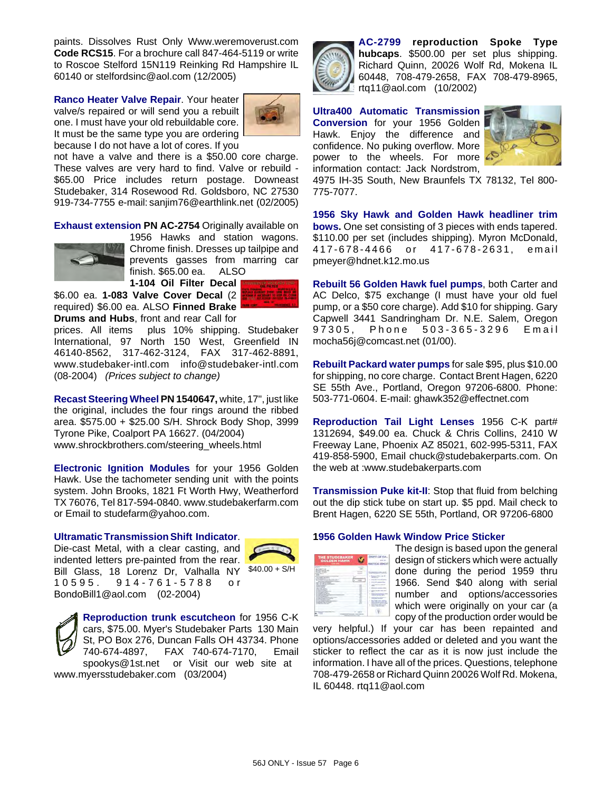paints. Dissolves Rust Only Www.weremoverust.com **Code RCS15**. For a brochure call 847-464-5119 or write to Roscoe Stelford 15N119 Reinking Rd Hampshire IL 60140 or stelfordsinc@aol.com (12/2005)

**Ranco Heater Valve Repair**. Your heater valve/s repaired or will send you a rebuilt one. I must have your old rebuildable core. It must be the same type you are ordering because I do not have a lot of cores. If you



not have a valve and there is a \$50.00 core charge. These valves are very hard to find. Valve or rebuild - \$65.00 Price includes return postage. Downeast Studebaker, 314 Rosewood Rd. Goldsboro, NC 27530 919-734-7755 e-mail: sanjim76@earthlink.net (02/2005)

**Exhaust extension PN AC-2754** Originally available on



1956 Hawks and station wagons. Chrome finish. Dresses up tailpipe and prevents gasses from marring car finish. \$65.00 ea. ALSO

**1-104 Oil Filter Decal** \$6.00 ea. **1-083 Valve Cover Decal** (2 required) \$6.00 ea. ALSO **Finned Brake Drums and Hubs**, front and rear Call for

prices. All items plus 10% shipping. Studebaker International, 97 North 150 West, Greenfield IN 46140-8562, 317-462-3124, FAX 317-462-8891, www.studebaker-intl.com info@studebaker-intl.com (08-2004) *(Prices subject to change)*

**Recast Steering Wheel PN 1540647,** white, 17", just like the original, includes the four rings around the ribbed area. \$575.00 + \$25.00 S/H. Shrock Body Shop, 3999 Tyrone Pike, Coalport PA 16627. (04/2004) www.shrockbrothers.com/steering\_wheels.html

**Electronic Ignition Modules** for your 1956 Golden Hawk. Use the tachometer sending unit with the points system. John Brooks, 1821 Ft Worth Hwy, Weatherford TX 76076, Tel 817-594-0840. www.studebakerfarm.com or Email to studefarm@yahoo.com.

#### **Ultramatic Transmission Shift Indicator**.

Bill Glass, 18 Lorenz Dr, Valhalla NY \$40.00 + S/H Die-cast Metal, with a clear casting, and indented letters pre-painted from the rear. 10595. 914-761-5788 or BondoBill1@aol.com (02-2004)



**Reproduction trunk escutcheon** for 1956 C-K cars, \$75.00. Myer's Studebaker Parts 130 Main St, PO Box 276, Duncan Falls OH 43734. Phone 740-674-4897, FAX 740-674-7170, Email spookys@1st.net or Visit our web site at www.myersstudebaker.com (03/2004)



**AC-2799 reproduction Spoke Type hubcaps**. \$500.00 per set plus shipping. Richard Quinn, 20026 Wolf Rd, Mokena IL 60448, 708-479-2658, FAX 708-479-8965, rtq11@aol.com (10/2002)

**Ultra400 Automatic Transmission Conversion** for your 1956 Golden Hawk. Enjoy the difference and confidence. No puking overflow. More power to the wheels. For more information contact: Jack Nordstrom,



4975 IH-35 South, New Braunfels TX 78132, Tel 800- 775-7077.

**1956 Sky Hawk and Golden Hawk headliner trim bows.** One set consisting of 3 pieces with ends tapered. \$110.00 per set (includes shipping). Myron McDonald, 417-678-4466 or 417-678-2631, email pmeyer@hdnet.k12.mo.us

**Rebuilt 56 Golden Hawk fuel pumps**, both Carter and AC Delco, \$75 exchange (I must have your old fuel pump, or a \$50 core charge). Add \$10 for shipping. Gary Capwell 3441 Sandringham Dr. N.E. Salem, Oregon 97305, Phone 503-365-3296 Email mocha56j@comcast.net (01/00).

**Rebuilt Packard water pumps** for sale \$95, plus \$10.00 for shipping, no core charge. Contact Brent Hagen, 6220 SE 55th Ave., Portland, Oregon 97206-6800. Phone: 503-771-0604. E-mail: ghawk352@effectnet.com

**Reproduction Tail Light Lenses** 1956 C-K part# 1312694, \$49.00 ea. Chuck & Chris Collins, 2410 W Freeway Lane, Phoenix AZ 85021, 602-995-5311, FAX 419-858-5900, Email chuck@studebakerparts.com. On the web at :www.studebakerparts.com

**Transmission Puke kit-II**: Stop that fluid from belching out the dip stick tube on start up. \$5 ppd. Mail check to Brent Hagen, 6220 SE 55th, Portland, OR 97206-6800

#### **1956 Golden Hawk Window Price Sticker**

| <b>THE STUDEBAKER</b><br>GOLDEN HAWK |   |            |
|--------------------------------------|---|------------|
| -                                    |   | a barriera |
|                                      | ٠ |            |
| ×<br>٠                               |   |            |
|                                      |   | ٠<br>۰     |
|                                      |   |            |

The design is based upon the general design of stickers which were actually done during the period 1959 thru 1966. Send \$40 along with serial number and options/accessories which were originally on your car (a copy of the production order would be

very helpful.) If your car has been repainted and options/accessories added or deleted and you want the sticker to reflect the car as it is now just include the information. I have all of the prices. Questions, telephone 708-479-2658 or Richard Quinn 20026 Wolf Rd. Mokena, IL 60448. rtq11@aol.com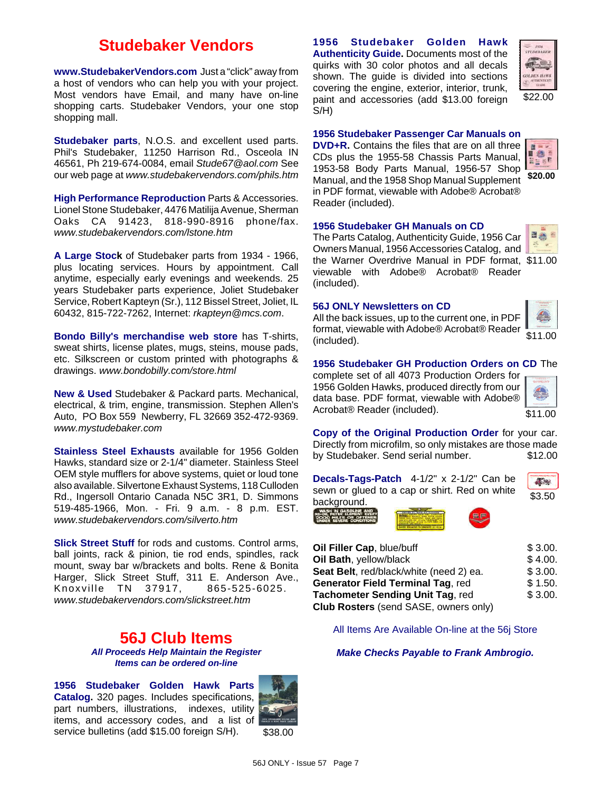# **Studebaker Vendors**

**www.StudebakerVendors.com** Just a "click" away from a host of vendors who can help you with your project. Most vendors have Email, and many have on-line shopping carts. Studebaker Vendors, your one stop shopping mall.

**Studebaker parts**, N.O.S. and excellent used parts. Phil's Studebaker, 11250 Harrison Rd., Osceola IN 46561, Ph 219-674-0084, email *Stude67@aol.com* See our web page at *www.studebakervendors.com/phils.htm*

**High Performance Reproduction** Parts & Accessories. Lionel Stone Studebaker, 4476 Matilija Avenue, Sherman Oaks CA 91423, 818-990-8916 phone/fax. *www.studebakervendors.com/lstone.htm*

**A Large Stock** of Studebaker parts from 1934 - 1966, plus locating services. Hours by appointment. Call anytime, especially early evenings and weekends. 25 years Studebaker parts experience, Joliet Studebaker Service, Robert Kapteyn (Sr.), 112 Bissel Street, Joliet, IL 60432, 815-722-7262, Internet: *rkapteyn@mcs.com*.

**Bondo Billy's merchandise web store** has T-shirts, sweat shirts, license plates, mugs, steins, mouse pads, etc. Silkscreen or custom printed with photographs & drawings. *www.bondobilly.com/store.html*

**New & Used** Studebaker & Packard parts. Mechanical, electrical, & trim, engine, transmission. Stephen Allen's Auto, PO Box 559 Newberry, FL 32669 352-472-9369. *www.mystudebaker.com*

**Stainless Steel Exhausts** available for 1956 Golden Hawks, standard size or 2-1/4" diameter. Stainless Steel OEM style mufflers for above systems, quiet or loud tone also available. Silvertone Exhaust Systems, 118 Culloden Rd., Ingersoll Ontario Canada N5C 3R1, D. Simmons 519-485-1966, Mon. - Fri. 9 a.m. - 8 p.m. EST. *www.studebakervendors.com/silverto.htm*

**Slick Street Stuff** for rods and customs. Control arms, ball joints, rack & pinion, tie rod ends, spindles, rack mount, sway bar w/brackets and bolts. Rene & Bonita Harger, Slick Street Stuff, 311 E. Anderson Ave., Knoxville TN 37917, 865-525-6025. *www.studebakervendors.com/slickstreet.htm*

### **56J Club Items** *All Proceeds Help Maintain the Register Items can be ordered on-line*

**1956 Studebaker Golden Hawk Parts Catalog.** 320 pages. Includes specifications, part numbers, illustrations, indexes, utility items, and accessory codes, and a list of service bulletins (add \$15.00 foreign S/H).



**1956 Studebaker Golden Hawk Authenticity Guide.** Documents most of the quirks with 30 color photos and all decals shown. The guide is divided into sections covering the engine, exterior, interior, trunk, paint and accessories (add \$13.00 foreign S/H)



#### **1956 Studebaker Passenger Car Manuals on**

**DVD+R.** Contains the files that are on all three is. CDs plus the 1955-58 Chassis Parts Manual, RESP 1953-58 Body Parts Manual, 1956-57 Shop Manual, and the 1958 Shop Manual Supplement **\$20.00**in PDF format, viewable with Adobe® Acrobat® Reader (included).



the Warner Overdrive Manual in PDF format, \$11.00 The Parts Catalog, Authenticity Guide, 1956 Car Owners Manual, 1956 Accessories Catalog, and viewable with Adobe® Acrobat® Reader (included).

#### **56J ONLY Newsletters on CD**

All the back issues, up to the current one, in PDF format, viewable with Adobe® Acrobat® Reader (included).



**Ba** 

\$11.00

#### **1956 Studebaker GH Production Orders on CD** The

complete set of all 4073 Production Orders for 1956 Golden Hawks, produced directly from our data base. PDF format, viewable with Adobe® Acrobat® Reader (included).

**Copy of the Original Production Order** for your car. Directly from microfilm, so only mistakes are those made by Studebaker. Send serial number. \$12.00

| <b>Jecals-Tags-Patch</b> $4-1/2$ " x $2-1/2$ " Can be |        |
|-------------------------------------------------------|--------|
| sewn or glued to a cap or shirt. Red on white         | \$3.50 |





| \$3.00. |
|---------|
| \$4.00. |
| \$3.00. |
| \$1.50. |
| \$3.00. |
|         |
|         |

All Items Are Available On-line at the 56j Store

#### *Make Checks Payable to Frank Ambrogio.*

56J ONLY - Issue 57 Page 7